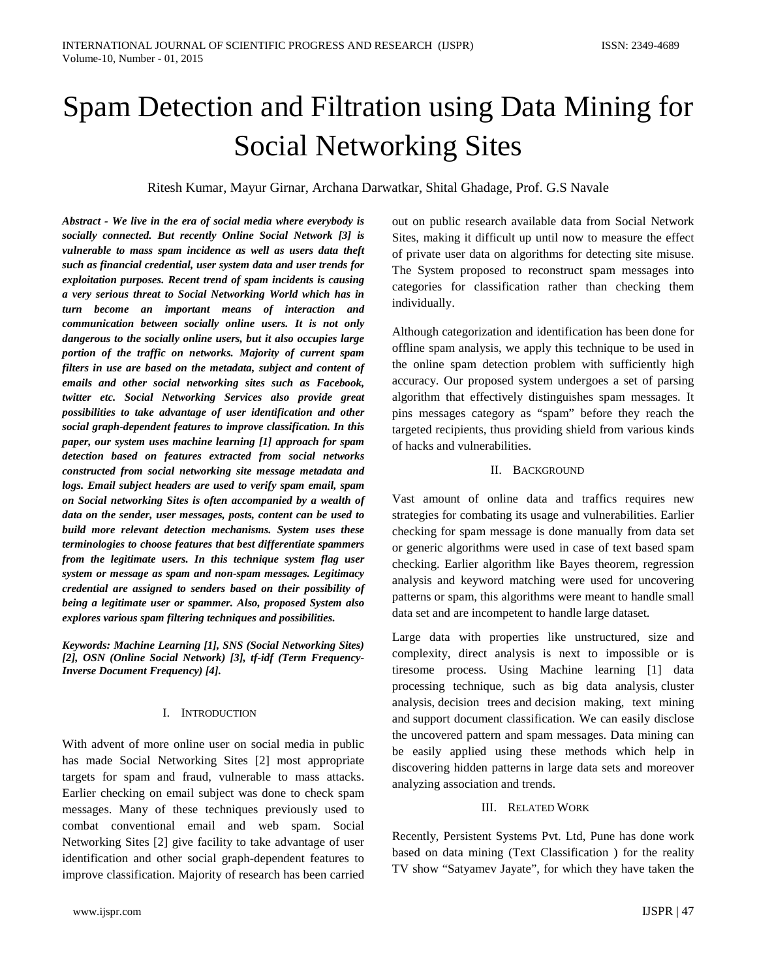# Spam Detection and Filtration using Data Mining for Social Networking Sites

Ritesh Kumar, Mayur Girnar, Archana Darwatkar, Shital Ghadage, Prof. G.S Navale

*Abstract - We live in the era of social media where everybody is socially connected. But recently Online Social Network [3] is vulnerable to mass spam incidence as well as users data theft such as financial credential, user system data and user trends for exploitation purposes. Recent trend of spam incidents is causing a very serious threat to Social Networking World which has in turn become an important means of interaction and communication between socially online users. It is not only dangerous to the socially online users, but it also occupies large portion of the traffic on networks. Majority of current spam filters in use are based on the metadata, subject and content of emails and other social networking sites such as Facebook, twitter etc. Social Networking Services also provide great possibilities to take advantage of user identification and other social graph-dependent features to improve classification. In this paper, our system uses machine learning [1] approach for spam detection based on features extracted from social networks constructed from social networking site message metadata and logs. Email subject headers are used to verify spam email, spam on Social networking Sites is often accompanied by a wealth of data on the sender, user messages, posts, content can be used to build more relevant detection mechanisms. System uses these terminologies to choose features that best differentiate spammers from the legitimate users. In this technique system flag user system or message as spam and non-spam messages. Legitimacy credential are assigned to senders based on their possibility of being a legitimate user or spammer. Also, proposed System also explores various spam filtering techniques and possibilities.*

*Keywords: Machine Learning [1], SNS (Social Networking Sites) [2], OSN (Online Social Network) [3], tf-idf (Term Frequency-Inverse Document Frequency) [4].*

## I. INTRODUCTION

With advent of more online user on social media in public has made Social Networking Sites [2] most appropriate targets for spam and fraud, vulnerable to mass attacks. Earlier checking on email subject was done to check spam messages. Many of these techniques previously used to combat conventional email and web spam. Social Networking Sites [2] give facility to take advantage of user identification and other social graph-dependent features to improve classification. Majority of research has been carried out on public research available data from Social Network Sites, making it difficult up until now to measure the effect of private user data on algorithms for detecting site misuse. The System proposed to reconstruct spam messages into categories for classification rather than checking them individually.

Although categorization and identification has been done for offline spam analysis, we apply this technique to be used in the online spam detection problem with sufficiently high accuracy. Our proposed system undergoes a set of parsing algorithm that effectively distinguishes spam messages. It pins messages category as "spam" before they reach the targeted recipients, thus providing shield from various kinds of hacks and vulnerabilities.

### II. BACKGROUND

Vast amount of online data and traffics requires new strategies for combating its usage and vulnerabilities. Earlier checking for spam message is done manually from data set or generic algorithms were used in case of text based spam checking. Earlier algorithm like Bayes theorem, regression analysis and keyword matching were used for uncovering patterns or spam, this algorithms were meant to handle small data set and are incompetent to handle large dataset.

Large data with properties like unstructured, size and complexity, direct analysis is next to impossible or is tiresome process. Using Machine learning [1] data processing technique, such as big data analysis, cluster analysis, decision trees and decision making, text mining and support document classification. We can easily disclose the uncovered pattern and spam messages. Data mining can be easily applied using these methods which help in discovering hidden patterns in large data sets and moreover analyzing association and trends.

## III. RELATED WORK

Recently, Persistent Systems Pvt. Ltd, Pune has done work based on data mining (Text Classification ) for the reality TV show "Satyamev Jayate", for which they have taken the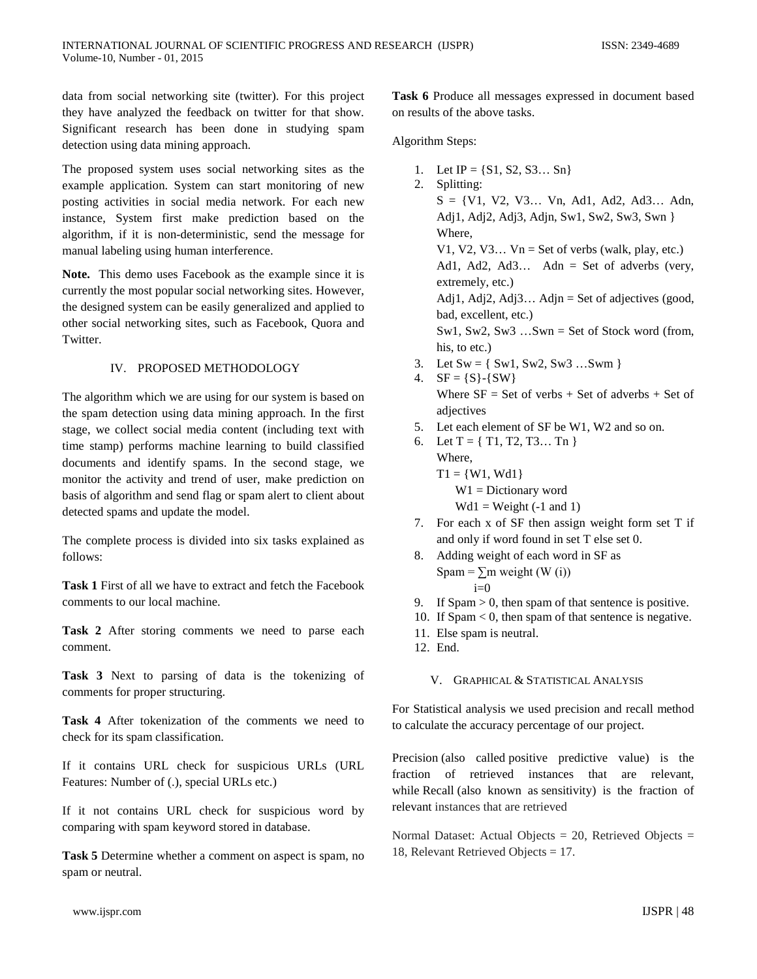data from social networking site (twitter). For this project they have analyzed the feedback on twitter for that show. Significant research has been done in studying spam detection using data mining approach.

The proposed system uses social networking sites as the example application. System can start monitoring of new posting activities in social media network. For each new instance, System first make prediction based on the algorithm, if it is non-deterministic, send the message for manual labeling using human interference.

**Note.** This demo uses Facebook as the example since it is currently the most popular social networking sites. However, the designed system can be easily generalized and applied to other social networking sites, such as Facebook, Quora and Twitter.

### IV. PROPOSED METHODOLOGY

The algorithm which we are using for our system is based on the spam detection using data mining approach. In the first stage, we collect social media content (including text with time stamp) performs machine learning to build classified documents and identify spams. In the second stage, we monitor the activity and trend of user, make prediction on basis of algorithm and send flag or spam alert to client about detected spams and update the model.

The complete process is divided into six tasks explained as follows:

**Task 1** First of all we have to extract and fetch the Facebook comments to our local machine.

**Task 2** After storing comments we need to parse each comment.

**Task 3** Next to parsing of data is the tokenizing of comments for proper structuring.

**Task 4** After tokenization of the comments we need to check for its spam classification.

If it contains URL check for suspicious URLs (URL Features: Number of (.), special URLs etc.)

If it not contains URL check for suspicious word by comparing with spam keyword stored in database.

**Task 5** Determine whether a comment on aspect is spam, no spam or neutral.

**Task 6** Produce all messages expressed in document based on results of the above tasks.

Algorithm Steps:

- 1. Let  $IP = \{S1, S2, S3... \, Sn\}$
- 2. Splitting:  $S = \{V1, V2, V3... Vn, Ad1, Ad2, Ad3... Adn,$ Adj1, Adj2, Adj3, Adjn, Sw1, Sw2, Sw3, Swn } Where, V1, V2, V3...  $Vn = Set of verbs (walk, play, etc.)$ Ad1, Ad2, Ad3... Adn = Set of adverbs (very, extremely, etc.) Adj1, Adj2, Adj3... Adjn = Set of adjectives (good, bad, excellent, etc.) Sw1, Sw2, Sw3 …Swn = Set of Stock word (from, his, to etc.) 3. Let  $Sw = \{ Sw1, Sw2, Sw3 ... Swm \}$
- 4.  $SF = \{S\} \{SW\}$ Where  $SF = Set of verbs + Set of adverbs + Set of$ adjectives
- 5. Let each element of SF be W1, W2 and so on.
- 6. Let  $T = \{ T1, T2, T3...$  Tn  $\}$ Where,  $T1 = \{W1, Wd1\}$  W1 = Dictionary word  $Wd1 = Weight(-1 and 1)$
- 7. For each x of SF then assign weight form set T if and only if word found in set T else set 0.
- 8. Adding weight of each word in SF as Spam =  $\Sigma$ m weight (W (i))  $i=0$
- 9. If  $Spam > 0$ , then spam of that sentence is positive.
- 10. If Spam < 0, then spam of that sentence is negative.
- 11. Else spam is neutral.
- 12. End.

V. GRAPHICAL & STATISTICAL ANALYSIS

For Statistical analysis we used precision and recall method to calculate the accuracy percentage of our project.

Precision (also called [positive predictive value\)](http://en.wikipedia.org/wiki/Positive_predictive_value) is the fraction of retrieved instances that are relevant, while Recall (also known as [sensitivity\)](http://en.wikipedia.org/wiki/Sensitivity_and_specificity) is the fraction of relevant instances that are retrieved

Normal Dataset: Actual Objects = 20, Retrieved Objects = 18, Relevant Retrieved Objects = 17.